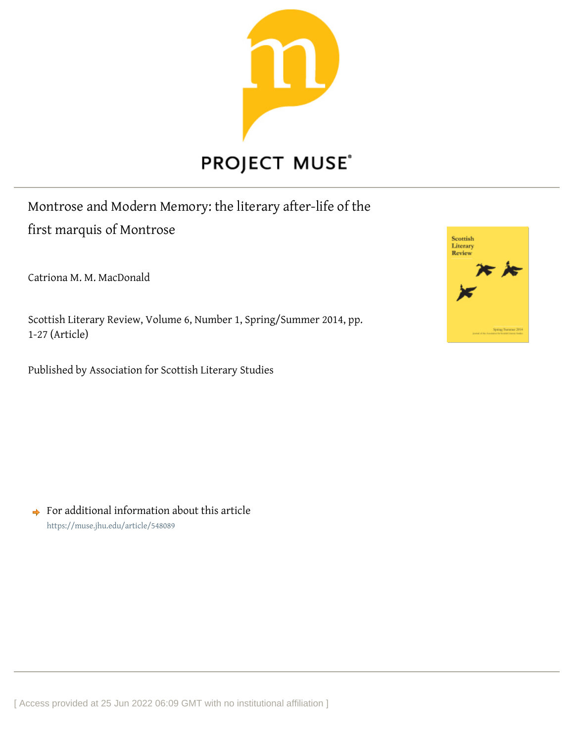

# **PROJECT MUSE®**

## Montrose and Modern Memory: the literary after-life of the first marquis of Montrose

Catriona M. M. MacDonald

Scottish Literary Review, Volume 6, Number 1, Spring/Summer 2014, pp. 1-27 (Article)

Published by Association for Scottish Literary Studies



 $\rightarrow$  For additional information about this article <https://muse.jhu.edu/article/548089>

[ Access provided at 25 Jun 2022 06:09 GMT with no institutional affiliation ]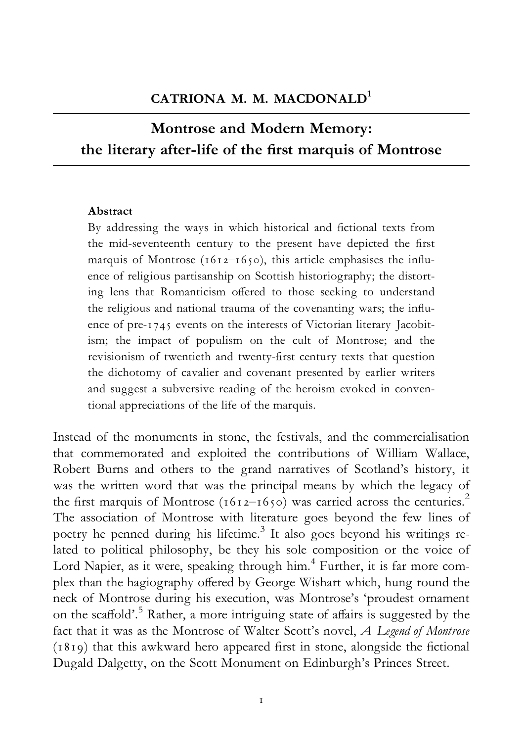### Montrose and Modern Memory: the literary after-life of the first marquis of Montrose

#### Abstract

By addressing the ways in which historical and fictional texts from the mid-seventeenth century to the present have depicted the first marquis of Montrose ( $1612-1650$ ), this article emphasises the influence of religious partisanship on Scottish historiography; the distorting lens that Romanticism offered to those seeking to understand the religious and national trauma of the covenanting wars; the influence of pre-1745 events on the interests of Victorian literary Jacobitism; the impact of populism on the cult of Montrose; and the revisionism of twentieth and twenty-first century texts that question the dichotomy of cavalier and covenant presented by earlier writers and suggest a subversive reading of the heroism evoked in conventional appreciations of the life of the marquis.

Instead of the monuments in stone, the festivals, and the commercialisation that commemorated and exploited the contributions of William Wallace, Robert Burns and others to the grand narratives of Scotland's history, it was the written word that was the principal means by which the legacy of the first marquis of Montrose (1612–1650) was carried across the centuries.<sup>2</sup> The association of Montrose with literature goes beyond the few lines of poetry he penned during his lifetime.<sup>3</sup> It also goes beyond his writings related to political philosophy, be they his sole composition or the voice of Lord Napier, as it were, speaking through him.<sup>4</sup> Further, it is far more complex than the hagiography offered by George Wishart which, hung round the neck of Montrose during his execution, was Montrose's 'proudest ornament on the scaffold'.<sup>5</sup> Rather, a more intriguing state of affairs is suggested by the fact that it was as the Montrose of Walter Scott's novel, A Legend of Montrose  $(1819)$  that this awkward hero appeared first in stone, alongside the fictional Dugald Dalgetty, on the Scott Monument on Edinburgh's Princes Street.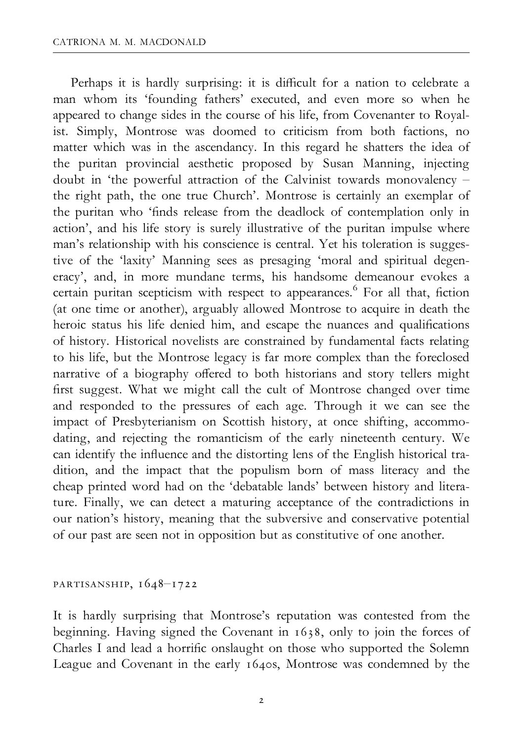Perhaps it is hardly surprising: it is difficult for a nation to celebrate a man whom its 'founding fathers' executed, and even more so when he appeared to change sides in the course of his life, from Covenanter to Royalist. Simply, Montrose was doomed to criticism from both factions, no matter which was in the ascendancy. In this regard he shatters the idea of the puritan provincial aesthetic proposed by Susan Manning, injecting doubt in 'the powerful attraction of the Calvinist towards monovalency ^ the right path, the one true Church'. Montrose is certainly an exemplar of the puritan who 'finds release from the deadlock of contemplation only in action', and his life story is surely illustrative of the puritan impulse where man's relationship with his conscience is central. Yet his toleration is suggestive of the 'laxity' Manning sees as presaging 'moral and spiritual degeneracy', and, in more mundane terms, his handsome demeanour evokes a certain puritan scepticism with respect to appearances.<sup>6</sup> For all that, fiction (at one time or another), arguably allowed Montrose to acquire in death the heroic status his life denied him, and escape the nuances and qualifications of history. Historical novelists are constrained by fundamental facts relating to his life, but the Montrose legacy is far more complex than the foreclosed narrative of a biography offered to both historians and story tellers might first suggest. What we might call the cult of Montrose changed over time and responded to the pressures of each age. Through it we can see the impact of Presbyterianism on Scottish history, at once shifting, accommodating, and rejecting the romanticism of the early nineteenth century. We can identify the influence and the distorting lens of the English historical tradition, and the impact that the populism born of mass literacy and the cheap printed word had on the 'debatable lands' between history and literature. Finally, we can detect a maturing acceptance of the contradictions in our nation's history, meaning that the subversive and conservative potential of our past are seen not in opposition but as constitutive of one another.

partisanship, 1648^1722

It is hardly surprising that Montrose's reputation was contested from the beginning. Having signed the Covenant in 1638, only to join the forces of Charles I and lead a horrific onslaught on those who supported the Solemn League and Covenant in the early 1640s, Montrose was condemned by the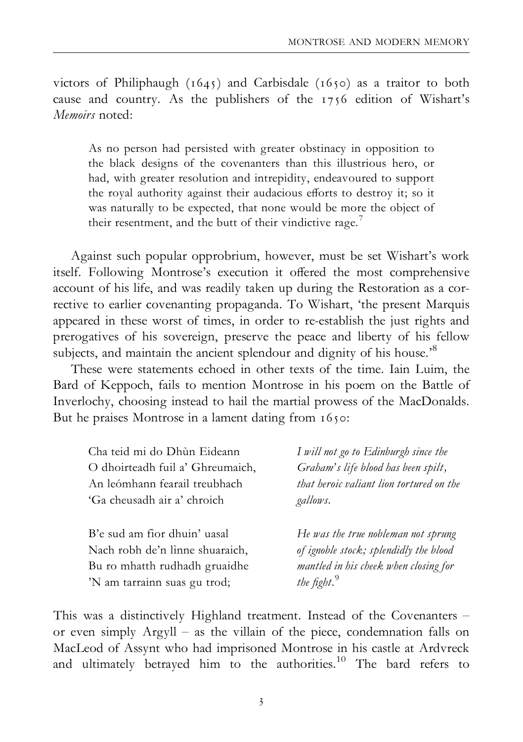victors of Philiphaugh (1645) and Carbisdale (1650) as a traitor to both cause and country. As the publishers of the 1756 edition of Wishart's Memoirs noted.

As no person had persisted with greater obstinacy in opposition to the black designs of the covenanters than this illustrious hero, or had, with greater resolution and intrepidity, endeavoured to support the royal authority against their audacious efforts to destroy it; so it was naturally to be expected, that none would be more the object of their resentment, and the butt of their vindictive rage.<sup>7</sup>

Against such popular opprobrium, however, must be set Wishart's work itself. Following Montrose's execution it offered the most comprehensive account of his life, and was readily taken up during the Restoration as a corrective to earlier covenanting propaganda. To Wishart, 'the present Marquis appeared in these worst of times, in order to re-establish the just rights and prerogatives of his sovereign, preserve the peace and liberty of his fellow subjects, and maintain the ancient splendour and dignity of his house.<sup>8</sup>

These were statements echoed in other texts of the time. Iain Luim, the Bard of Keppoch, fails to mention Montrose in his poem on the Battle of Inverlochy, choosing instead to hail the martial prowess of the MacDonalds. But he praises Montrose in a lament dating from 1650:

| Cha teid mi do Dhùn Eideann      | I will not go to Edinburgh since the     |
|----------------------------------|------------------------------------------|
| O dhoirteadh fuil a' Ghreumaich, | Graham's life blood has been spilt,      |
| An leómhann fearail treubhach    | that heroic valiant lion tortured on the |
| 'Ga cheusadh air a' chroich      | gallows.                                 |
|                                  |                                          |
| B'e sud am fìor dhuin' uasal     | He was the true nobleman not sprung      |
| Nach robh de'n lìnne shuaraich,  | of ignoble stock; splendidly the blood   |
| Bu ro mhatth rudhadh gruaidhe    | mantled in his cheek when closing for    |
|                                  |                                          |
| 'N am tarrainn suas gu trod;     | the fight. $9$                           |

This was a distinctively Highland treatment. Instead of the Covenanters or even simply  $Argyll - as$  the villain of the piece, condemnation falls on MacLeod of Assynt who had imprisoned Montrose in his castle at Ardvreck and ultimately betrayed him to the authorities.<sup>10</sup> The bard refers to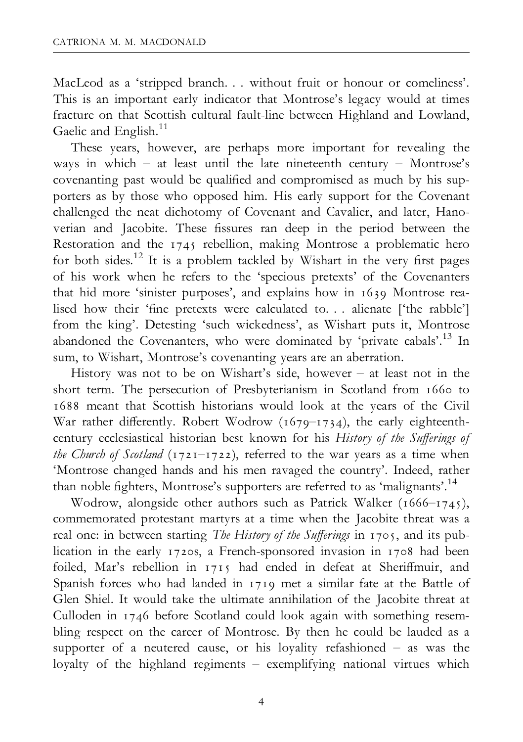MacLeod as a 'stripped branch. . . without fruit or honour or comeliness'. This is an important early indicator that Montrose's legacy would at times fracture on that Scottish cultural fault-line between Highland and Lowland, Gaelic and English.<sup>11</sup>

These years, however, are perhaps more important for revealing the ways in which  $-$  at least until the late nineteenth century  $-$  Montrose's covenanting past would be qualified and compromised as much by his supporters as by those who opposed him. His early support for the Covenant challenged the neat dichotomy of Covenant and Cavalier, and later, Hanoverian and Jacobite. These fissures ran deep in the period between the Restoration and the 1745 rebellion, making Montrose a problematic hero for both sides.<sup>12</sup> It is a problem tackled by Wishart in the very first pages of his work when he refers to the 'specious pretexts' of the Covenanters that hid more 'sinister purposes', and explains how in 1639 Montrose realised how their 'fine pretexts were calculated to. . . alienate ['the rabble'] from the king'. Detesting 'such wickedness', as Wishart puts it, Montrose abandoned the Covenanters, who were dominated by 'private cabals'.<sup>13</sup> In sum, to Wishart, Montrose's covenanting years are an aberration.

History was not to be on Wishart's side, however  $-$  at least not in the short term. The persecution of Presbyterianism in Scotland from 1660 to 1688 meant that Scottish historians would look at the years of the Civil War rather differently. Robert Wodrow ( $1679$ <sup>-1734</sup>), the early eighteenthcentury ecclesiastical historian best known for his History of the Sufferings of the Church of Scotland (1721-1722), referred to the war years as a time when 'Montrose changed hands and his men ravaged the country'. Indeed, rather than noble fighters, Montrose's supporters are referred to as 'malignants'.<sup>14</sup>

Wodrow, alongside other authors such as Patrick Walker (1666-1745), commemorated protestant martyrs at a time when the Jacobite threat was a real one: in between starting The History of the Sufferings in 1705, and its publication in the early 1720s, a French-sponsored invasion in 1708 had been foiled, Mar's rebellion in 1715 had ended in defeat at Sheriffmuir, and Spanish forces who had landed in 1719 met a similar fate at the Battle of Glen Shiel. It would take the ultimate annihilation of the Jacobite threat at Culloden in 1746 before Scotland could look again with something resembling respect on the career of Montrose. By then he could be lauded as a supporter of a neutered cause, or his loyality refashioned  $-$  as was the loyalty of the highland regiments - exemplifying national virtues which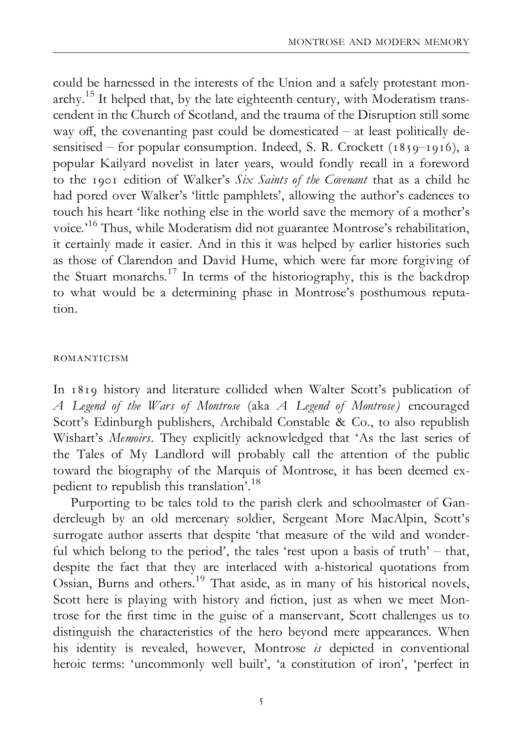could be harnessed in the interests of the Union and a safely protestant mon $archy$ <sup>15</sup> It helped that, by the late eighteenth century, with Moderatism transcendent in the Church of Scotland, and the trauma of the Disruption still some way off, the covenanting past could be domesticated  $-$  at least politically desensitised – for popular consumption. Indeed, S. R. Crockett (1859–1916), a popular Kailyard novelist in later years, would fondly recall in a foreword to the 1901 edition of Walker's Six Saints of the Covenant that as a child he had pored over Walker's 'little pamphlets', allowing the author's cadences to touch his heart 'like nothing else in the world save the memory of a mother's voice.'16 Thus, while Moderatism did not guarantee Montrose's rehabilitation, it certainly made it easier. And in this it was helped by earlier histories such as those of Clarendon and David Hume, which were far more forgiving of the Stuart monarchs.17 In terms of the historiography, this is the backdrop to what would be a determining phase in Montrose's posthumous reputation.

#### romanticism

In 1819 history and literature collided when Walter Scott's publication of A Legend of the Wars of Montrose (aka A Legend of Montrose) encouraged Scott's Edinburgh publishers, Archibald Constable & Co., to also republish Wishart's Memoirs. They explicitly acknowledged that 'As the last series of the Tales of My Landlord will probably call the attention of the public toward the biography of the Marquis of Montrose, it has been deemed expedient to republish this translation'.18

Purporting to be tales told to the parish clerk and schoolmaster of Gandercleugh by an old mercenary soldier, Sergeant More MacAlpin, Scott's surrogate author asserts that despite 'that measure of the wild and wonderful which belong to the period', the tales 'rest upon a basis of truth'  $-$  that, despite the fact that they are interlaced with a-historical quotations from Ossian, Burns and others.<sup>19</sup> That aside, as in many of his historical novels, Scott here is playing with history and fiction, just as when we meet Montrose for the first time in the guise of a manservant, Scott challenges us to distinguish the characteristics of the hero beyond mere appearances. When his identity is revealed, however, Montrose is depicted in conventional heroic terms: 'uncommonly well built', 'a constitution of iron', 'perfect in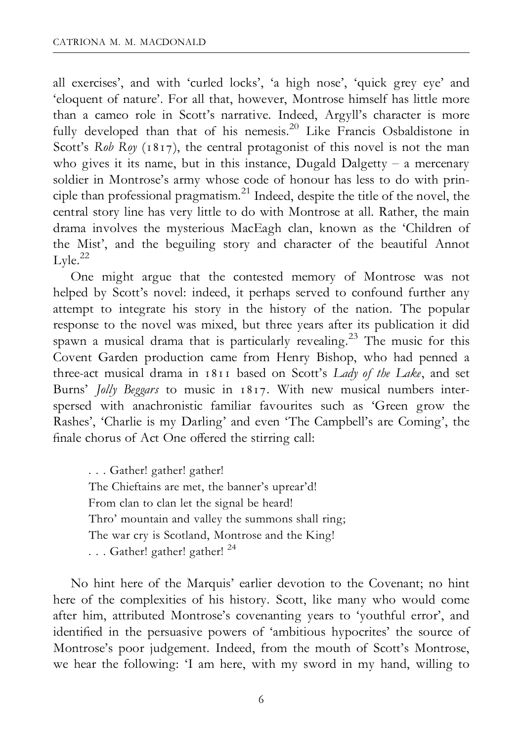all exercises', and with 'curled locks', 'a high nose', 'quick grey eye' and 'eloquent of nature'. For all that, however, Montrose himself has little more than a cameo role in Scott's narrative. Indeed, Argyll's character is more fully developed than that of his nemesis.<sup>20</sup> Like Francis Osbaldistone in Scott's Rob Roy  $(1817)$ , the central protagonist of this novel is not the man who gives it its name, but in this instance, Dugald Dalgetty  $-$  a mercenary soldier in Montrose's army whose code of honour has less to do with principle than professional pragmatism.<sup>21</sup> Indeed, despite the title of the novel, the central story line has very little to do with Montrose at all. Rather, the main drama involves the mysterious MacEagh clan, known as the 'Children of the Mist', and the beguiling story and character of the beautiful Annot  $Lyle.<sup>22</sup>$ 

One might argue that the contested memory of Montrose was not helped by Scott's novel: indeed, it perhaps served to confound further any attempt to integrate his story in the history of the nation. The popular response to the novel was mixed, but three years after its publication it did spawn a musical drama that is particularly revealing.<sup>23</sup> The music for this Covent Garden production came from Henry Bishop, who had penned a three-act musical drama in 1811 based on Scott's Lady of the Lake, and set Burns' Jolly Beggars to music in 1817. With new musical numbers interspersed with anachronistic familiar favourites such as 'Green grow the Rashes', 'Charlie is my Darling' and even 'The Campbell's are Coming', the finale chorus of Act One offered the stirring call:

. . . Gather! gather! gather! The Chieftains are met, the banner's uprear'd! From clan to clan let the signal be heard! Thro' mountain and valley the summons shall ring; The war cry is Scotland, Montrose and the King! . . . Gather! gather! gather! <sup>24</sup>

No hint here of the Marquis' earlier devotion to the Covenant; no hint here of the complexities of his history. Scott, like many who would come after him, attributed Montrose's covenanting years to 'youthful error', and identified in the persuasive powers of 'ambitious hypocrites' the source of Montrose's poor judgement. Indeed, from the mouth of Scott's Montrose, we hear the following: 'I am here, with my sword in my hand, willing to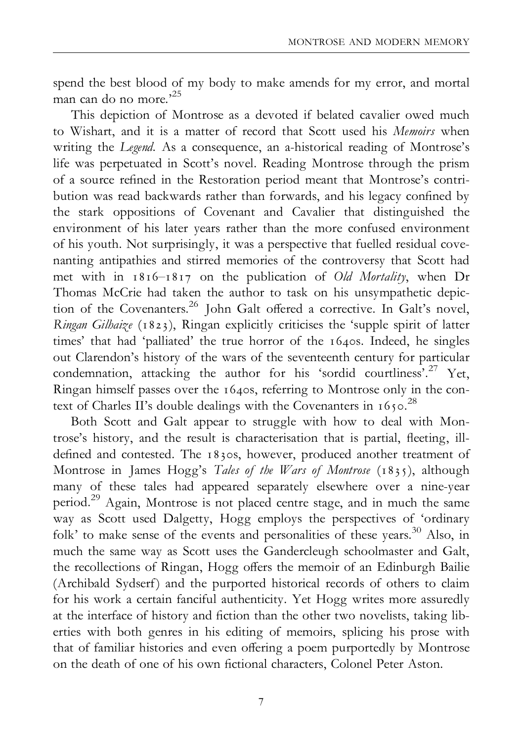spend the best blood of my body to make amends for my error, and mortal man can do no more.'<sup>25</sup>

This depiction of Montrose as a devoted if belated cavalier owed much to Wishart, and it is a matter of record that Scott used his Memoirs when writing the Legend. As a consequence, an a-historical reading of Montrose's life was perpetuated in Scott's novel. Reading Montrose through the prism of a source refined in the Restoration period meant that Montrose's contribution was read backwards rather than forwards, and his legacy confined by the stark oppositions of Covenant and Cavalier that distinguished the environment of his later years rather than the more confused environment of his youth. Not surprisingly, it was a perspective that fuelled residual covenanting antipathies and stirred memories of the controversy that Scott had met with in  $1816 - 1817$  on the publication of Old Mortality, when Dr Thomas McCrie had taken the author to task on his unsympathetic depiction of the Covenanters.<sup>26</sup> John Galt offered a corrective. In Galt's novel, Ringan Gilhaize (1823), Ringan explicitly criticises the 'supple spirit of latter times' that had 'palliated' the true horror of the 1640s. Indeed, he singles out Clarendon's history of the wars of the seventeenth century for particular condemnation, attacking the author for his 'sordid courtliness'.27 Yet, Ringan himself passes over the 1640s, referring to Montrose only in the context of Charles II's double dealings with the Covenanters in  $1650$ .<sup>28</sup>

Both Scott and Galt appear to struggle with how to deal with Montrose's history, and the result is characterisation that is partial, fleeting, illdefined and contested. The 1830s, however, produced another treatment of Montrose in James Hogg's Tales of the Wars of Montrose (1835), although many of these tales had appeared separately elsewhere over a nine-year period.29 Again, Montrose is not placed centre stage, and in much the same way as Scott used Dalgetty, Hogg employs the perspectives of 'ordinary folk' to make sense of the events and personalities of these years.<sup>30</sup> Also, in much the same way as Scott uses the Gandercleugh schoolmaster and Galt, the recollections of Ringan, Hogg offers the memoir of an Edinburgh Bailie (Archibald Sydserf) and the purported historical records of others to claim for his work a certain fanciful authenticity. Yet Hogg writes more assuredly at the interface of history and fiction than the other two novelists, taking liberties with both genres in his editing of memoirs, splicing his prose with that of familiar histories and even offering a poem purportedly by Montrose on the death of one of his own fictional characters. Colonel Peter Aston.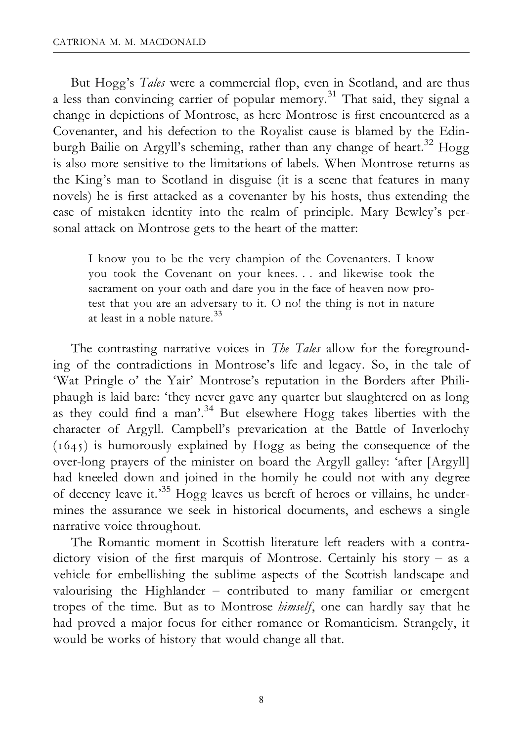But Hogg's Tales were a commercial flop, even in Scotland, and are thus a less than convincing carrier of popular memory.<sup>31</sup> That said, they signal a change in depictions of Montrose, as here Montrose is first encountered as a Covenanter, and his defection to the Royalist cause is blamed by the Edinburgh Bailie on Argyll's scheming, rather than any change of heart.<sup>32</sup> Hogg is also more sensitive to the limitations of labels. When Montrose returns as the King's man to Scotland in disguise (it is a scene that features in many novels) he is first attacked as a covenanter by his hosts, thus extending the case of mistaken identity into the realm of principle. Mary Bewley's personal attack on Montrose gets to the heart of the matter:

I know you to be the very champion of the Covenanters. I know you took the Covenant on your knees. . . and likewise took the sacrament on your oath and dare you in the face of heaven now protest that you are an adversary to it. O no! the thing is not in nature at least in a noble nature  $33$ 

The contrasting narrative voices in *The Tales* allow for the foregrounding of the contradictions in Montrose's life and legacy. So, in the tale of 'Wat Pringle o' the Yair' Montrose's reputation in the Borders after Philiphaugh is laid bare: 'they never gave any quarter but slaughtered on as long as they could find a man'.<sup>34</sup> But elsewhere Hogg takes liberties with the character of Argyll. Campbell's prevarication at the Battle of Inverlochy  $(1645)$  is humorously explained by Hogg as being the consequence of the over-long prayers of the minister on board the Argyll galley: 'after [Argyll] had kneeled down and joined in the homily he could not with any degree of decency leave it.'35 Hogg leaves us bereft of heroes or villains, he undermines the assurance we seek in historical documents, and eschews a single narrative voice throughout.

The Romantic moment in Scottish literature left readers with a contradictory vision of the first marquis of Montrose. Certainly his story  $-$  as a vehicle for embellishing the sublime aspects of the Scottish landscape and valourising the Highlander  $-$  contributed to many familiar or emergent tropes of the time. But as to Montrose himself, one can hardly say that he had proved a major focus for either romance or Romanticism. Strangely, it would be works of history that would change all that.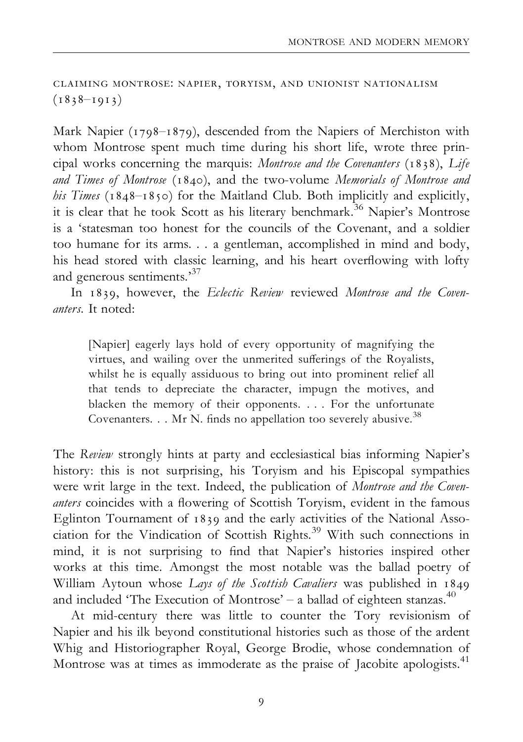claiming montrose: napier, toryism, and unionist nationalism  $(1838 - 1913)$ 

Mark Napier (1798-1879), descended from the Napiers of Merchiston with whom Montrose spent much time during his short life, wrote three principal works concerning the marquis: Montrose and the Covenanters (1838), Life and Times of Montrose (1840), and the two-volume Memorials of Montrose and his Times ( $1848-1850$ ) for the Maitland Club. Both implicitly and explicitly, it is clear that he took Scott as his literary benchmark.<sup>36</sup> Napier's Montrose is a 'statesman too honest for the councils of the Covenant, and a soldier too humane for its arms. . . a gentleman, accomplished in mind and body, his head stored with classic learning, and his heart overflowing with lofty and generous sentiments.<sup>37</sup>

In 1839, however, the Eclectic Review reviewed Montrose and the Covenanters. It noted:

[Napier] eagerly lays hold of every opportunity of magnifying the virtues, and wailing over the unmerited sufferings of the Royalists, whilst he is equally assiduous to bring out into prominent relief all that tends to depreciate the character, impugn the motives, and blacken the memory of their opponents. . . . For the unfortunate Covenanters. . . Mr N. finds no appellation too severely abusive.<sup>38</sup>

The Review strongly hints at party and ecclesiastical bias informing Napier's history: this is not surprising, his Toryism and his Episcopal sympathies were writ large in the text. Indeed, the publication of Montrose and the Covenanters coincides with a flowering of Scottish Toryism, evident in the famous Eglinton Tournament of 1839 and the early activities of the National Association for the Vindication of Scottish Rights.<sup>39</sup> With such connections in mind, it is not surprising to find that Napier's histories inspired other works at this time. Amongst the most notable was the ballad poetry of William Aytoun whose Lays of the Scottish Cavaliers was published in 1849 and included 'The Execution of Montrose'  $-$  a ballad of eighteen stanzas.<sup>40</sup>

At mid-century there was little to counter the Tory revisionism of Napier and his ilk beyond constitutional histories such as those of the ardent Whig and Historiographer Royal, George Brodie, whose condemnation of Montrose was at times as immoderate as the praise of Jacobite apologists.41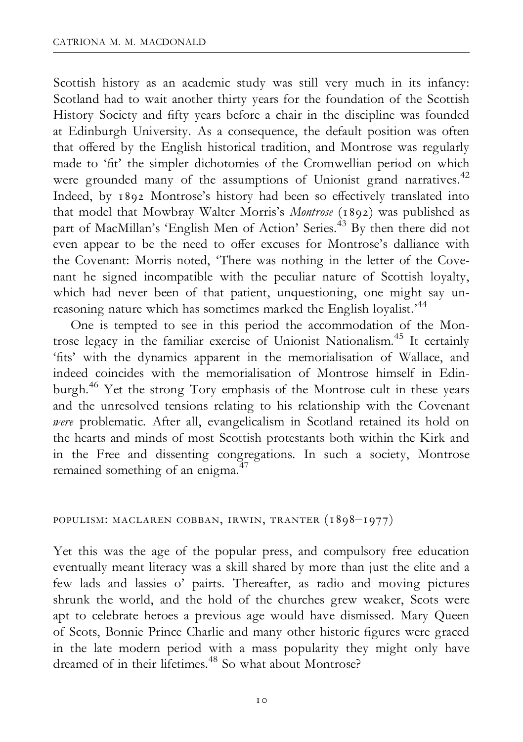Scottish history as an academic study was still very much in its infancy: Scotland had to wait another thirty years for the foundation of the Scottish History Society and fifty years before a chair in the discipline was founded at Edinburgh University. As a consequence, the default position was often that offered by the English historical tradition, and Montrose was regularly made to 'fit' the simpler dichotomies of the Cromwellian period on which were grounded many of the assumptions of Unionist grand narratives.<sup>42</sup> Indeed, by 1892 Montrose's history had been so effectively translated into that model that Mowbray Walter Morris's Montrose (1892) was published as part of MacMillan's 'English Men of Action' Series.<sup>43</sup> By then there did not even appear to be the need to offer excuses for Montrose's dalliance with the Covenant: Morris noted, 'There was nothing in the letter of the Covenant he signed incompatible with the peculiar nature of Scottish loyalty, which had never been of that patient, unquestioning, one might say unreasoning nature which has sometimes marked the English loyalist.<sup>44</sup>

One is tempted to see in this period the accommodation of the Montrose legacy in the familiar exercise of Unionist Nationalism.45 It certainly 'fits' with the dynamics apparent in the memorialisation of Wallace, and indeed coincides with the memorialisation of Montrose himself in Edinburgh.46 Yet the strong Tory emphasis of the Montrose cult in these years and the unresolved tensions relating to his relationship with the Covenant were problematic. After all, evangelicalism in Scotland retained its hold on the hearts and minds of most Scottish protestants both within the Kirk and in the Free and dissenting congregations. In such a society, Montrose remained something of an enigma.<sup>47</sup>

#### populism: maclaren cobban, irwin, tranter (1898^1977)

Yet this was the age of the popular press, and compulsory free education eventually meant literacy was a skill shared by more than just the elite and a few lads and lassies o' pairts. Thereafter, as radio and moving pictures shrunk the world, and the hold of the churches grew weaker, Scots were apt to celebrate heroes a previous age would have dismissed. Mary Queen of Scots, Bonnie Prince Charlie and many other historic figures were graced in the late modern period with a mass popularity they might only have dreamed of in their lifetimes.<sup>48</sup> So what about Montrose?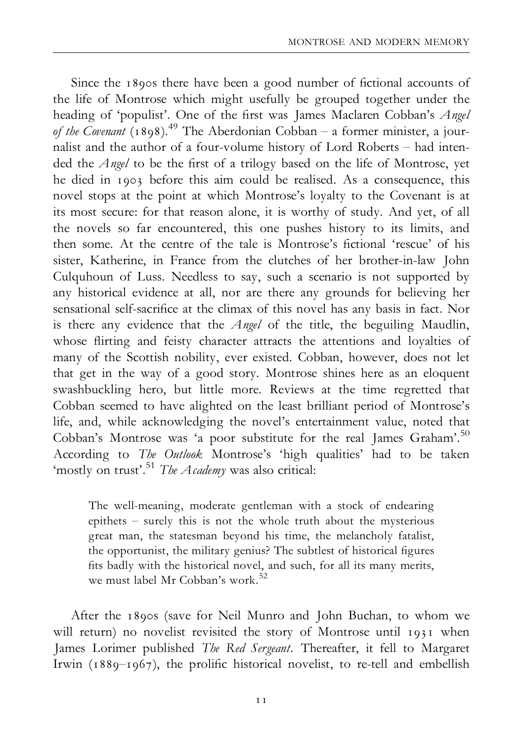Since the 1890s there have been a good number of fictional accounts of the life of Montrose which might usefully be grouped together under the heading of 'populist'. One of the first was James Maclaren Cobban's Angel of the Covenant (1898).<sup>49</sup> The Aberdonian Cobban – a former minister, a journalist and the author of a four-volume history of Lord Roberts ^ had intended the  $Angel$  to be the first of a trilogy based on the life of Montrose, yet he died in 1903 before this aim could be realised. As a consequence, this novel stops at the point at which Montrose's loyalty to the Covenant is at its most secure: for that reason alone, it is worthy of study. And yet, of all the novels so far encountered, this one pushes history to its limits, and then some. At the centre of the tale is Montrose's fictional 'rescue' of his sister, Katherine, in France from the clutches of her brother-in-law John Culquhoun of Luss. Needless to say, such a scenario is not supported by any historical evidence at all, nor are there any grounds for believing her sensational self-sacrifice at the climax of this novel has any basis in fact. Nor is there any evidence that the  $Angel$  of the title, the beguiling Maudlin, whose flirting and feisty character attracts the attentions and loyalties of many of the Scottish nobility, ever existed. Cobban, however, does not let that get in the way of a good story. Montrose shines here as an eloquent swashbuckling hero, but little more. Reviews at the time regretted that Cobban seemed to have alighted on the least brilliant period of Montrose's life, and, while acknowledging the novel's entertainment value, noted that Cobban's Montrose was 'a poor substitute for the real James Graham'.<sup>50</sup> According to *The Outlook* Montrose's 'high qualities' had to be taken 'mostly on trust'.<sup>51</sup> The Academy was also critical:

The well-meaning, moderate gentleman with a stock of endearing epithets  $-$  surely this is not the whole truth about the mysterious great man, the statesman beyond his time, the melancholy fatalist, the opportunist, the military genius? The subtlest of historical figures fits badly with the historical novel, and such, for all its many merits, we must label Mr Cobban's work.<sup>52</sup>

After the 1890s (save for Neil Munro and John Buchan, to whom we will return) no novelist revisited the story of Montrose until 1931 when James Lorimer published The Red Sergeant. Thereafter, it fell to Margaret Irwin ( $1889-1967$ ), the prolific historical novelist, to re-tell and embellish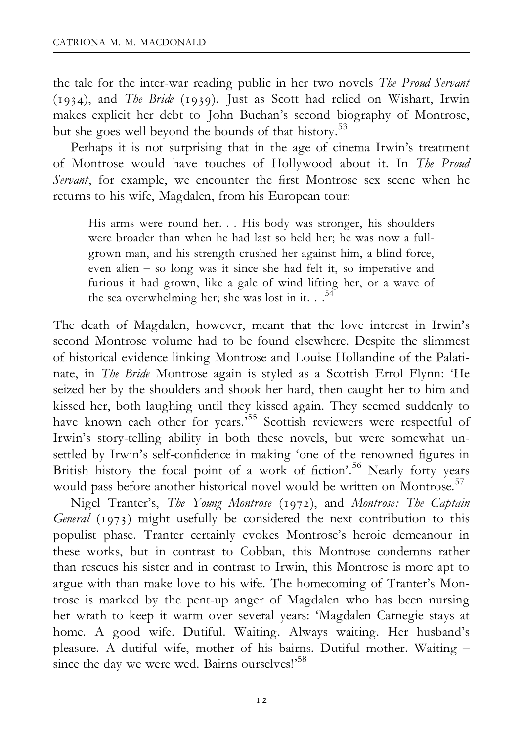the tale for the inter-war reading public in her two novels The Proud Servant (1934), and The Bride (1939). Just as Scott had relied on Wishart, Irwin makes explicit her debt to John Buchan's second biography of Montrose, but she goes well beyond the bounds of that history.<sup>53</sup>

Perhaps it is not surprising that in the age of cinema Irwin's treatment of Montrose would have touches of Hollywood about it. In The Proud Servant, for example, we encounter the first Montrose sex scene when he returns to his wife, Magdalen, from his European tour:

His arms were round her. . . His body was stronger, his shoulders were broader than when he had last so held her; he was now a fullgrown man, and his strength crushed her against him, a blind force, even alien - so long was it since she had felt it, so imperative and furious it had grown, like a gale of wind lifting her, or a wave of the sea overwhelming her; she was lost in it.  $.$ <sup>54</sup>

The death of Magdalen, however, meant that the love interest in Irwin's second Montrose volume had to be found elsewhere. Despite the slimmest of historical evidence linking Montrose and Louise Hollandine of the Palatinate, in The Bride Montrose again is styled as a Scottish Errol Flynn: 'He seized her by the shoulders and shook her hard, then caught her to him and kissed her, both laughing until they kissed again. They seemed suddenly to have known each other for years.<sup>555</sup> Scottish reviewers were respectful of Irwin's story-telling ability in both these novels, but were somewhat unsettled by Irwin's self-confidence in making 'one of the renowned figures in British history the focal point of a work of fiction'.<sup>56</sup> Nearly forty years would pass before another historical novel would be written on Montrose.<sup>57</sup>

Nigel Tranter's, The Young Montrose (1972), and Montrose: The Captain General (1973) might usefully be considered the next contribution to this populist phase. Tranter certainly evokes Montrose's heroic demeanour in these works, but in contrast to Cobban, this Montrose condemns rather than rescues his sister and in contrast to Irwin, this Montrose is more apt to argue with than make love to his wife. The homecoming of Tranter's Montrose is marked by the pent-up anger of Magdalen who has been nursing her wrath to keep it warm over several years: 'Magdalen Carnegie stays at home. A good wife. Dutiful. Waiting. Always waiting. Her husband's pleasure. A dutiful wife, mother of his bairns. Dutiful mother. Waiting ^ since the day we were wed. Bairns ourselves!'<sup>58</sup>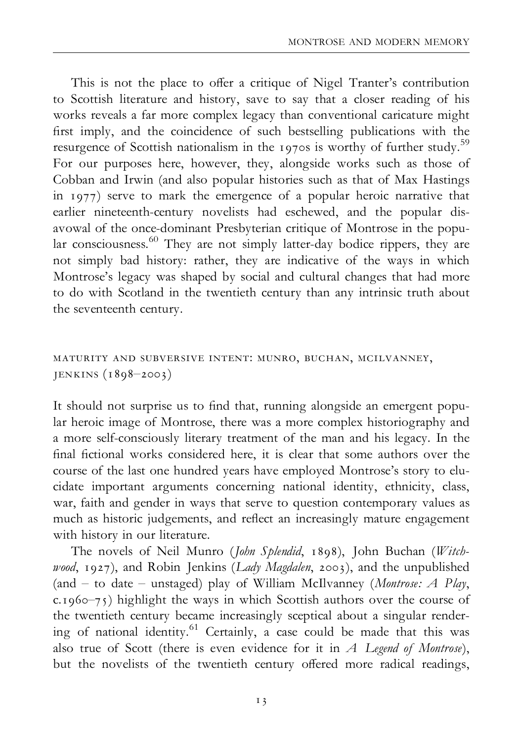This is not the place to offer a critique of Nigel Tranter's contribution to Scottish literature and history, save to say that a closer reading of his works reveals a far more complex legacy than conventional caricature might first imply, and the coincidence of such bestselling publications with the resurgence of Scottish nationalism in the 1970s is worthy of further study.<sup>59</sup> For our purposes here, however, they, alongside works such as those of Cobban and Irwin (and also popular histories such as that of Max Hastings in 1977) serve to mark the emergence of a popular heroic narrative that earlier nineteenth-century novelists had eschewed, and the popular disavowal of the once-dominant Presbyterian critique of Montrose in the popular consciousness.<sup>60</sup> They are not simply latter-day bodice rippers, they are not simply bad history: rather, they are indicative of the ways in which Montrose's legacy was shaped by social and cultural changes that had more to do with Scotland in the twentieth century than any intrinsic truth about the seventeenth century.

#### maturity and subversive intent: munro, buchan, mcilvanney, JENKINS  $(1898 - 2003)$

It should not surprise us to find that, running alongside an emergent popular heroic image of Montrose, there was a more complex historiography and a more self-consciously literary treatment of the man and his legacy. In the final fictional works considered here, it is clear that some authors over the course of the last one hundred years have employed Montrose's story to elucidate important arguments concerning national identity, ethnicity, class, war, faith and gender in ways that serve to question contemporary values as much as historic judgements, and reflect an increasingly mature engagement with history in our literature.

The novels of Neil Munro (John Splendid, 1898), John Buchan (Witchwood, 1927), and Robin Jenkins (Lady Magdalen, 2003), and the unpublished (and  $-$  to date  $-$  unstaged) play of William McIlvanney (Montrose: A Play,  $c.1960-75$ ) highlight the ways in which Scottish authors over the course of the twentieth century became increasingly sceptical about a singular rendering of national identity.61 Certainly, a case could be made that this was also true of Scott (there is even evidence for it in  $A$  Legend of Montrose), but the novelists of the twentieth century offered more radical readings,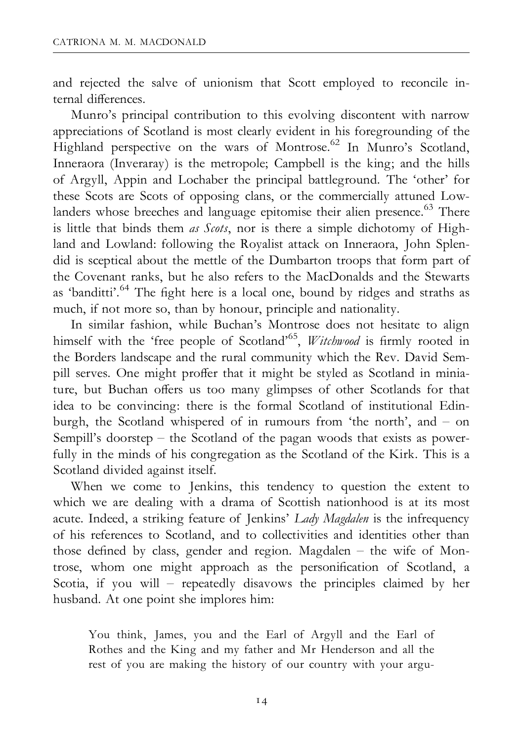and rejected the salve of unionism that Scott employed to reconcile internal differences

Munro's principal contribution to this evolving discontent with narrow appreciations of Scotland is most clearly evident in his foregrounding of the Highland perspective on the wars of Montrose.<sup>62</sup> In Munro's Scotland, Inneraora (Inveraray) is the metropole; Campbell is the king; and the hills of Argyll, Appin and Lochaber the principal battleground. The 'other' for these Scots are Scots of opposing clans, or the commercially attuned Lowlanders whose breeches and language epitomise their alien presence.<sup>63</sup> There is little that binds them as Scots, nor is there a simple dichotomy of Highland and Lowland: following the Royalist attack on Inneraora, John Splendid is sceptical about the mettle of the Dumbarton troops that form part of the Covenant ranks, but he also refers to the MacDonalds and the Stewarts as 'banditti'.<sup>64</sup> The fight here is a local one, bound by ridges and straths as much, if not more so, than by honour, principle and nationality.

In similar fashion, while Buchan's Montrose does not hesitate to align himself with the 'free people of Scotland'<sup>65</sup>, *Witchwood* is firmly rooted in the Borders landscape and the rural community which the Rev. David Sempill serves. One might proffer that it might be styled as Scotland in miniature, but Buchan offers us too many glimpses of other Scotlands for that idea to be convincing: there is the formal Scotland of institutional Edinburgh, the Scotland whispered of in rumours from 'the north', and - on Sempill's doorstep  $-$  the Scotland of the pagan woods that exists as powerfully in the minds of his congregation as the Scotland of the Kirk. This is a Scotland divided against itself.

When we come to Jenkins, this tendency to question the extent to which we are dealing with a drama of Scottish nationhood is at its most acute. Indeed, a striking feature of Jenkins' Lady Magdalen is the infrequency of his references to Scotland, and to collectivities and identities other than those defined by class, gender and region. Magdalen  $-$  the wife of Montrose, whom one might approach as the personification of Scotland, a Scotia, if you will  $-$  repeatedly disavows the principles claimed by her husband. At one point she implores him:

You think, James, you and the Earl of Argyll and the Earl of Rothes and the King and my father and Mr Henderson and all the rest of you are making the history of our country with your argu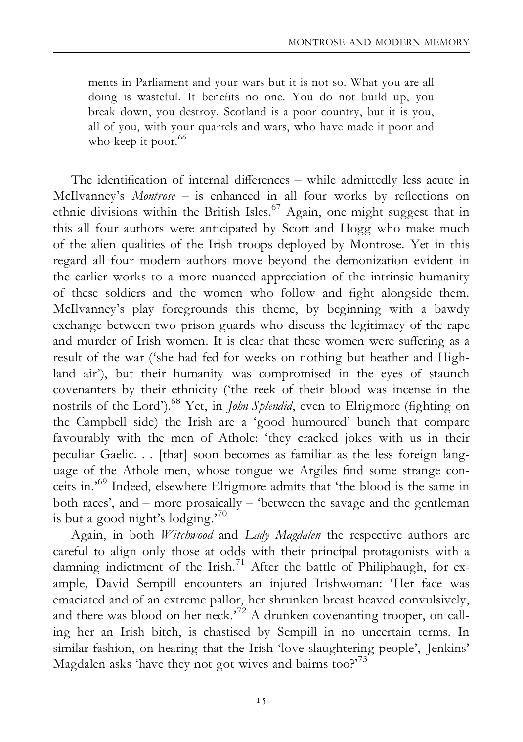ments in Parliament and your wars but it is not so. What you are all doing is wasteful. It bene¢ts no one. You do not build up, you break down, you destroy. Scotland is a poor country, but it is you, all of you, with your quarrels and wars, who have made it poor and who keep it poor.<sup>66</sup>

The identification of internal differences  $-$  while admittedly less acute in McIlvanney's  $Montrose - is enhanced in all four works by reflections on$ ethnic divisions within the British Isles.<sup>67</sup> Again, one might suggest that in this all four authors were anticipated by Scott and Hogg who make much of the alien qualities of the Irish troops deployed by Montrose. Yet in this regard all four modern authors move beyond the demonization evident in the earlier works to a more nuanced appreciation of the intrinsic humanity of these soldiers and the women who follow and ¢ght alongside them. McIlvanney's play foregrounds this theme, by beginning with a bawdy exchange between two prison guards who discuss the legitimacy of the rape and murder of Irish women. It is clear that these women were suffering as a result of the war ('she had fed for weeks on nothing but heather and Highland air'), but their humanity was compromised in the eyes of staunch covenanters by their ethnicity ('the reek of their blood was incense in the nostrils of the Lord').<sup>68</sup> Yet, in *John Splendid*, even to Elrigmore (fighting on the Campbell side) the Irish are a 'good humoured' bunch that compare favourably with the men of Athole: 'they cracked jokes with us in their peculiar Gaelic. . . [that] soon becomes as familiar as the less foreign language of the Athole men, whose tongue we Argiles find some strange conceits in.'69 Indeed, elsewhere Elrigmore admits that 'the blood is the same in both races', and  $-$  more prosaically  $-$  'between the savage and the gentleman is but a good night's lodging.<sup>70</sup>

Again, in both Witchwood and Lady Magdalen the respective authors are careful to align only those at odds with their principal protagonists with a damning indictment of the Irish.<sup>71</sup> After the battle of Philiphaugh, for example, David Sempill encounters an injured Irishwoman: 'Her face was emaciated and of an extreme pallor, her shrunken breast heaved convulsively, and there was blood on her neck.<sup> $72$ </sup> A drunken covenanting trooper, on calling her an Irish bitch, is chastised by Sempill in no uncertain terms. In similar fashion, on hearing that the Irish 'love slaughtering people', Jenkins' Magdalen asks 'have they not got wives and bairns too?'<sup>73</sup>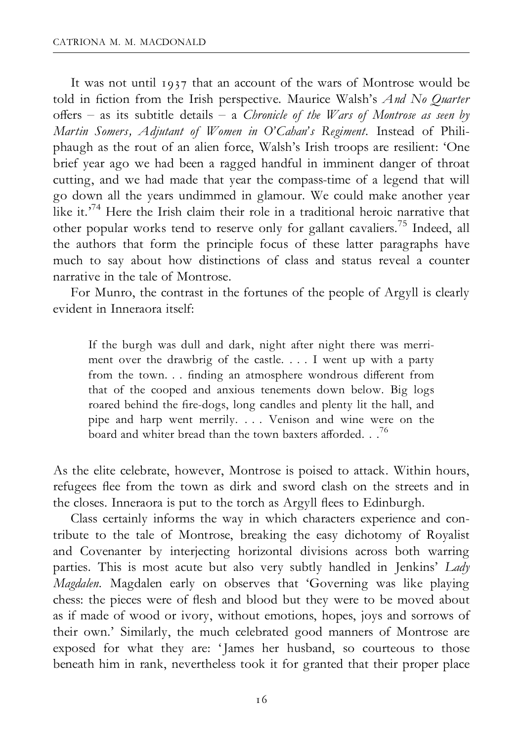It was not until 1937 that an account of the wars of Montrose would be told in fiction from the Irish perspective. Maurice Walsh's And No Quarter offers – as its subtitle details – a Chronicle of the Wars of Montrose as seen by Martin Somers, Adjutant of Women in O'Cahan's Regiment. Instead of Philiphaugh as the rout of an alien force, Walsh's Irish troops are resilient: 'One brief year ago we had been a ragged handful in imminent danger of throat cutting, and we had made that year the compass-time of a legend that will go down all the years undimmed in glamour. We could make another year like it.<sup>74</sup> Here the Irish claim their role in a traditional heroic narrative that other popular works tend to reserve only for gallant cavaliers.75 Indeed, all the authors that form the principle focus of these latter paragraphs have much to say about how distinctions of class and status reveal a counter narrative in the tale of Montrose.

For Munro, the contrast in the fortunes of the people of Argyll is clearly evident in Inneraora itself:

If the burgh was dull and dark, night after night there was merriment over the drawbrig of the castle. . . . I went up with a party from the town. . . finding an atmosphere wondrous different from that of the cooped and anxious tenements down below. Big logs roared behind the fire-dogs, long candles and plenty lit the hall, and pipe and harp went merrily. . . . Venison and wine were on the board and whiter bread than the town baxters afforded. . .<sup>76</sup>

As the elite celebrate, however, Montrose is poised to attack. Within hours, refugees flee from the town as dirk and sword clash on the streets and in the closes. Inneraora is put to the torch as Argyll flees to Edinburgh.

Class certainly informs the way in which characters experience and contribute to the tale of Montrose, breaking the easy dichotomy of Royalist and Covenanter by interjecting horizontal divisions across both warring parties. This is most acute but also very subtly handled in Jenkins' Lady Magdalen. Magdalen early on observes that 'Governing was like playing chess: the pieces were of flesh and blood but they were to be moved about as if made of wood or ivory, without emotions, hopes, joys and sorrows of their own.' Similarly, the much celebrated good manners of Montrose are exposed for what they are: 'James her husband, so courteous to those beneath him in rank, nevertheless took it for granted that their proper place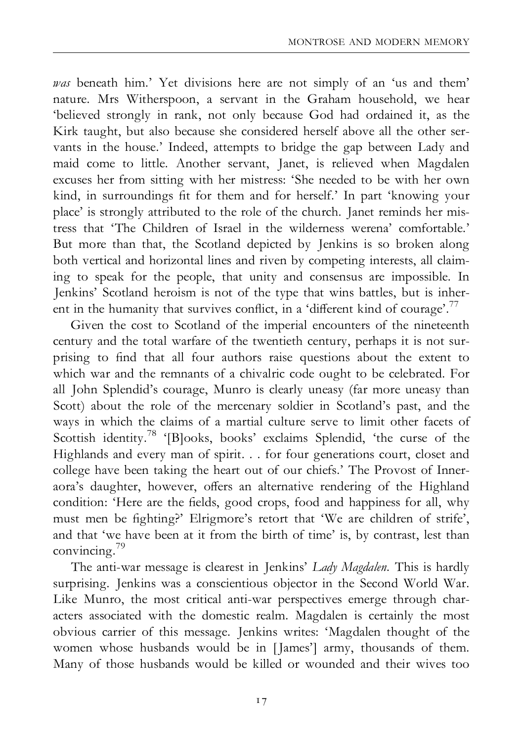was beneath him.' Yet divisions here are not simply of an 'us and them' nature. Mrs Witherspoon, a servant in the Graham household, we hear 'believed strongly in rank, not only because God had ordained it, as the Kirk taught, but also because she considered herself above all the other servants in the house.' Indeed, attempts to bridge the gap between Lady and maid come to little. Another servant, Janet, is relieved when Magdalen excuses her from sitting with her mistress: 'She needed to be with her own kind, in surroundings fit for them and for herself.' In part 'knowing your place' is strongly attributed to the role of the church. Janet reminds her mistress that 'The Children of Israel in the wilderness werena' comfortable.' But more than that, the Scotland depicted by Jenkins is so broken along both vertical and horizontal lines and riven by competing interests, all claiming to speak for the people, that unity and consensus are impossible. In Jenkins' Scotland heroism is not of the type that wins battles, but is inherent in the humanity that survives conflict, in a 'different kind of courage'.<sup>77</sup>

Given the cost to Scotland of the imperial encounters of the nineteenth century and the total warfare of the twentieth century, perhaps it is not surprising to find that all four authors raise questions about the extent to which war and the remnants of a chivalric code ought to be celebrated. For all John Splendid's courage, Munro is clearly uneasy (far more uneasy than Scott) about the role of the mercenary soldier in Scotland's past, and the ways in which the claims of a martial culture serve to limit other facets of Scottish identity.<sup>78</sup> '[B]ooks, books' exclaims Splendid, 'the curse of the Highlands and every man of spirit. . . for four generations court, closet and college have been taking the heart out of our chiefs.' The Provost of Inneraora's daughter, however, offers an alternative rendering of the Highland condition: 'Here are the fields, good crops, food and happiness for all, why must men be ¢ghting?' Elrigmore's retort that 'We are children of strife', and that 'we have been at it from the birth of time' is, by contrast, lest than convincing.79

The anti-war message is clearest in Jenkins' Lady Magdalen. This is hardly surprising. Jenkins was a conscientious objector in the Second World War. Like Munro, the most critical anti-war perspectives emerge through characters associated with the domestic realm. Magdalen is certainly the most obvious carrier of this message. Jenkins writes: 'Magdalen thought of the women whose husbands would be in [James'] army, thousands of them. Many of those husbands would be killed or wounded and their wives too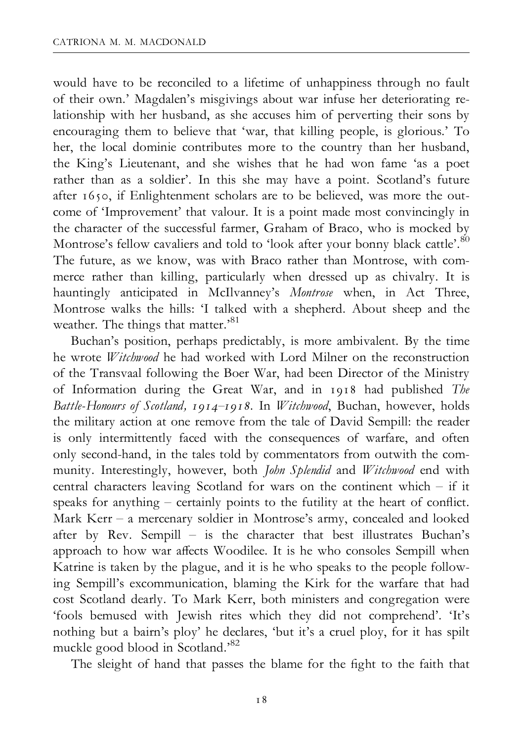would have to be reconciled to a lifetime of unhappiness through no fault of their own.' Magdalen's misgivings about war infuse her deteriorating relationship with her husband, as she accuses him of perverting their sons by encouraging them to believe that 'war, that killing people, is glorious.' To her, the local dominie contributes more to the country than her husband, the King's Lieutenant, and she wishes that he had won fame 'as a poet rather than as a soldier'. In this she may have a point. Scotland's future after 1650, if Enlightenment scholars are to be believed, was more the outcome of 'Improvement' that valour. It is a point made most convincingly in the character of the successful farmer, Graham of Braco, who is mocked by Montrose's fellow cavaliers and told to 'look after your bonny black cattle'.<sup>80</sup> The future, as we know, was with Braco rather than Montrose, with commerce rather than killing, particularly when dressed up as chivalry. It is hauntingly anticipated in McIlvanney's Montrose when, in Act Three, Montrose walks the hills: 'I talked with a shepherd. About sheep and the weather. The things that matter.<sup>81</sup>

Buchan's position, perhaps predictably, is more ambivalent. By the time he wrote *Witchwood* he had worked with Lord Milner on the reconstruction of the Transvaal following the Boer War, had been Director of the Ministry of Information during the Great War, and in 1918 had published The Battle-Honours of Scotland, 1914–1918. In Witchwood, Buchan, however, holds the military action at one remove from the tale of David Sempill: the reader is only intermittently faced with the consequences of warfare, and often only second-hand, in the tales told by commentators from outwith the community. Interestingly, however, both John Splendid and Witchwood end with central characters leaving Scotland for wars on the continent which - if it speaks for anything  $-$  certainly points to the futility at the heart of conflict. Mark Kerr  $-$  a mercenary soldier in Montrose's army, concealed and looked after by Rev. Sempill  $-$  is the character that best illustrates Buchan's approach to how war affects Woodilee. It is he who consoles Sempill when Katrine is taken by the plague, and it is he who speaks to the people following Sempill's excommunication, blaming the Kirk for the warfare that had cost Scotland dearly. To Mark Kerr, both ministers and congregation were 'fools bemused with Jewish rites which they did not comprehend'. 'It's nothing but a bairn's ploy' he declares, 'but it's a cruel ploy, for it has spilt muckle good blood in Scotland.'82

The sleight of hand that passes the blame for the fight to the faith that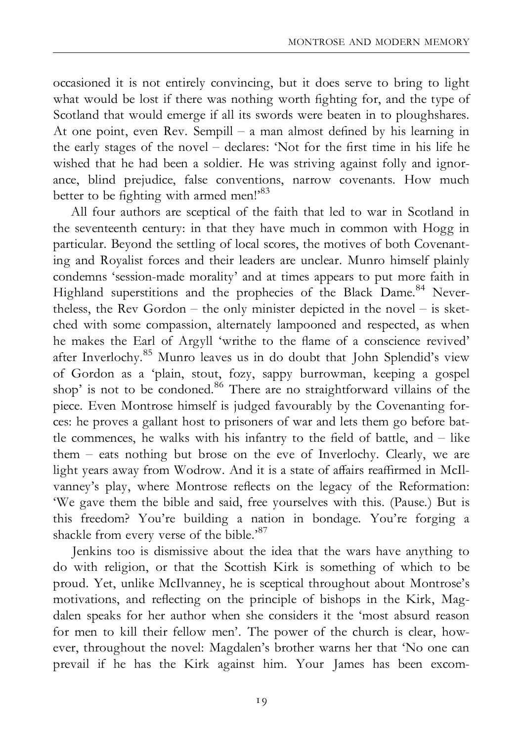occasioned it is not entirely convincing, but it does serve to bring to light what would be lost if there was nothing worth fighting for, and the type of Scotland that would emerge if all its swords were beaten in to ploughshares. At one point, even Rev. Sempill  $-$  a man almost defined by his learning in the early stages of the novel  $-$  declares: 'Not for the first time in his life he wished that he had been a soldier. He was striving against folly and ignorance, blind prejudice, false conventions, narrow covenants. How much better to be fighting with armed men!'<sup>83</sup>

All four authors are sceptical of the faith that led to war in Scotland in the seventeenth century: in that they have much in common with Hogg in particular. Beyond the settling of local scores, the motives of both Covenanting and Royalist forces and their leaders are unclear. Munro himself plainly condemns 'session-made morality' and at times appears to put more faith in Highland superstitions and the prophecies of the Black Dame.<sup>84</sup> Nevertheless, the Rev Gordon  $-$  the only minister depicted in the novel  $-$  is sketched with some compassion, alternately lampooned and respected, as when he makes the Earl of Argyll 'writhe to the flame of a conscience revived' after Inverlochy.85 Munro leaves us in do doubt that John Splendid's view of Gordon as a 'plain, stout, fozy, sappy burrowman, keeping a gospel shop' is not to be condoned.<sup>86</sup> There are no straightforward villains of the piece. Even Montrose himself is judged favourably by the Covenanting forces: he proves a gallant host to prisoners of war and lets them go before battle commences, he walks with his infantry to the field of battle, and  $-$  like them  $-$  eats nothing but brose on the eve of Inverlochy. Clearly, we are light years away from Wodrow. And it is a state of affairs reaffirmed in McIlvanney's play, where Montrose reflects on the legacy of the Reformation: 'We gave them the bible and said, free yourselves with this. (Pause.) But is this freedom? You're building a nation in bondage. You're forging a shackle from every verse of the bible.'<sup>87</sup>

Jenkins too is dismissive about the idea that the wars have anything to do with religion, or that the Scottish Kirk is something of which to be proud. Yet, unlike McIlvanney, he is sceptical throughout about Montrose's motivations, and reflecting on the principle of bishops in the Kirk, Magdalen speaks for her author when she considers it the 'most absurd reason for men to kill their fellow men'. The power of the church is clear, however, throughout the novel: Magdalen's brother warns her that 'No one can prevail if he has the Kirk against him. Your James has been excom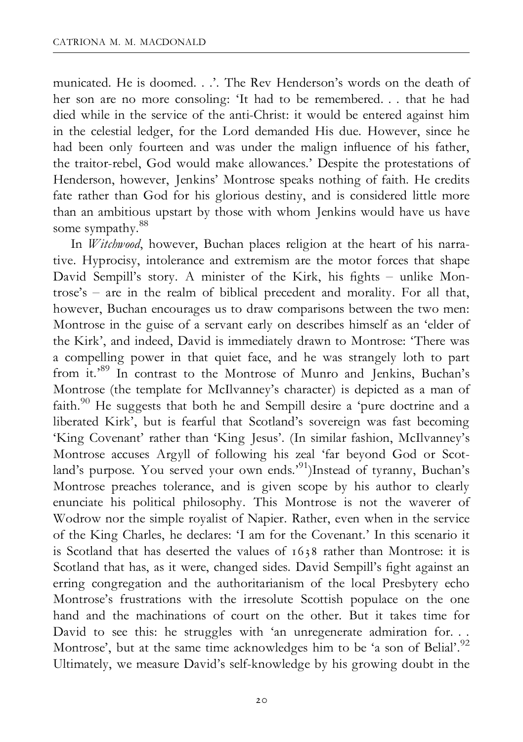municated. He is doomed. . .'. The Rev Henderson's words on the death of her son are no more consoling: 'It had to be remembered. . . that he had died while in the service of the anti-Christ: it would be entered against him in the celestial ledger, for the Lord demanded His due. However, since he had been only fourteen and was under the malign influence of his father, the traitor-rebel, God would make allowances.' Despite the protestations of Henderson, however, Jenkins' Montrose speaks nothing of faith. He credits fate rather than God for his glorious destiny, and is considered little more than an ambitious upstart by those with whom Jenkins would have us have some sympathy.<sup>88</sup>

In *Witchwood*, however, Buchan places religion at the heart of his narrative. Hyprocisy, intolerance and extremism are the motor forces that shape David Sempill's story. A minister of the Kirk, his fights - unlike Montrose's  $-$  are in the realm of biblical precedent and morality. For all that, however, Buchan encourages us to draw comparisons between the two men: Montrose in the guise of a servant early on describes himself as an 'elder of the Kirk', and indeed, David is immediately drawn to Montrose: 'There was a compelling power in that quiet face, and he was strangely loth to part from it.'89 In contrast to the Montrose of Munro and Jenkins, Buchan's Montrose (the template for McIlvanney's character) is depicted as a man of faith.<sup>90</sup> He suggests that both he and Sempill desire a 'pure doctrine and a liberated Kirk', but is fearful that Scotland's sovereign was fast becoming 'King Covenant' rather than 'King Jesus'. (In similar fashion, McIlvanney's Montrose accuses Argyll of following his zeal 'far beyond God or Scotland's purpose. You served your own ends.<sup>'91</sup>)Instead of tyranny, Buchan's Montrose preaches tolerance, and is given scope by his author to clearly enunciate his political philosophy. This Montrose is not the waverer of Wodrow nor the simple royalist of Napier. Rather, even when in the service of the King Charles, he declares: 'I am for the Covenant.' In this scenario it is Scotland that has deserted the values of 1638 rather than Montrose: it is Scotland that has, as it were, changed sides. David Sempill's fight against an erring congregation and the authoritarianism of the local Presbytery echo Montrose's frustrations with the irresolute Scottish populace on the one hand and the machinations of court on the other. But it takes time for David to see this: he struggles with 'an unregenerate admiration for... Montrose', but at the same time acknowledges him to be 'a son of Belial'.<sup>92</sup> Ultimately, we measure David's self-knowledge by his growing doubt in the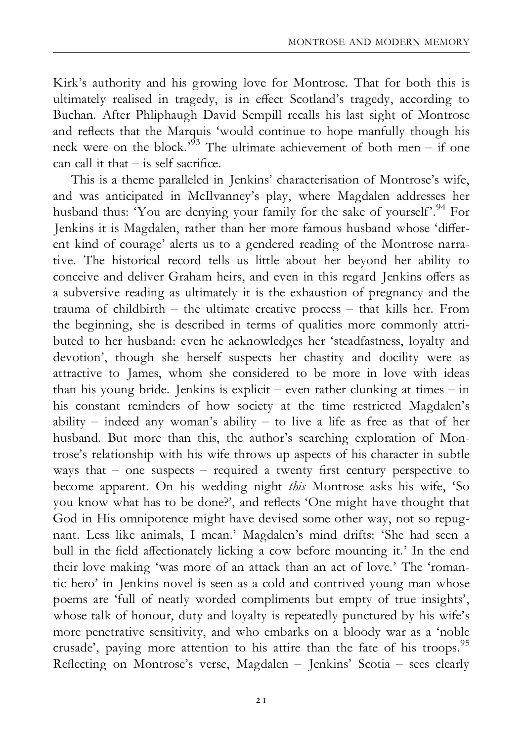Kirk's authority and his growing love for Montrose. That for both this is ultimately realised in tragedy, is in effect Scotland's tragedy, according to Buchan. After Phliphaugh David Sempill recalls his last sight of Montrose and reflects that the Marquis 'would continue to hope manfully though his neck were on the block.<sup>93</sup> The ultimate achievement of both men – if one  $\cos$  call it that  $\sin$  is self sacrifice.

This is a theme paralleled in Jenkins' characterisation of Montrose's wife, and was anticipated in McIlvanney's play, where Magdalen addresses her husband thus: 'You are denying your family for the sake of yourself'.<sup>94</sup> For Jenkins it is Magdalen, rather than her more famous husband whose 'different kind of courage' alerts us to a gendered reading of the Montrose narrative. The historical record tells us little about her beyond her ability to conceive and deliver Graham heirs, and even in this regard Jenkins offers as a subversive reading as ultimately it is the exhaustion of pregnancy and the trauma of childbirth  $-$  the ultimate creative process  $-$  that kills her. From the beginning, she is described in terms of qualities more commonly attributed to her husband: even he acknowledges her 'steadfastness, loyalty and devotion', though she herself suspects her chastity and docility were as attractive to James, whom she considered to be more in love with ideas than his young bride. Jenkins is explicit  $-$  even rather clunking at times  $-$  in his constant reminders of how society at the time restricted Magdalen's ability  $-$  indeed any woman's ability  $-$  to live a life as free as that of her husband. But more than this, the author's searching exploration of Montrose's relationship with his wife throws up aspects of his character in subtle ways that  $-$  one suspects  $-$  required a twenty first century perspective to become apparent. On his wedding night this Montrose asks his wife, 'So you know what has to be done?', and reflects 'One might have thought that God in His omnipotence might have devised some other way, not so repugnant. Less like animals, I mean.' Magdalen's mind drifts: 'She had seen a bull in the field affectionately licking a cow before mounting it.' In the end their love making 'was more of an attack than an act of love.' The 'romantic hero' in Jenkins novel is seen as a cold and contrived young man whose poems are 'full of neatly worded compliments but empty of true insights', whose talk of honour, duty and loyalty is repeatedly punctured by his wife's more penetrative sensitivity, and who embarks on a bloody war as a 'noble crusade', paying more attention to his attire than the fate of his troops.<sup>95</sup> Reflecting on Montrose's verse, Magdalen  $-$  Jenkins' Scotia  $-$  sees clearly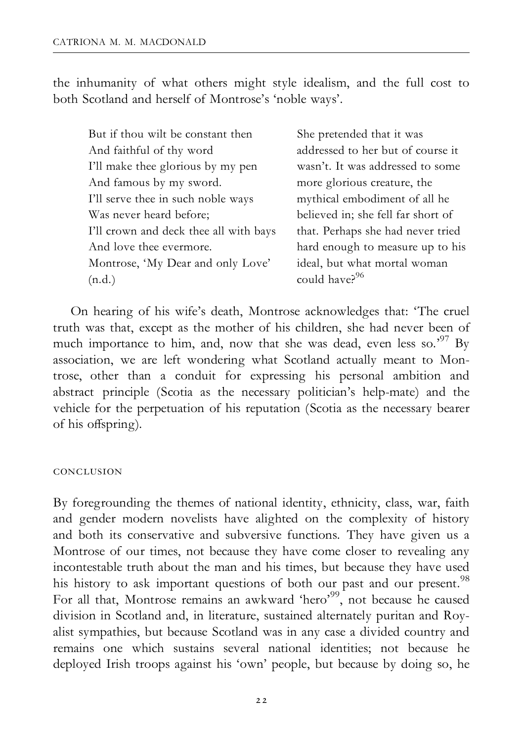the inhumanity of what others might style idealism, and the full cost to both Scotland and herself of Montrose's 'noble ways'.

| But if thou wilt be constant then      | She pretended             |
|----------------------------------------|---------------------------|
| And faithful of thy word               | addressed to 1            |
| I'll make thee glorious by my pen      | wasn't. It was            |
| And famous by my sword.                | more glorious             |
| I'll serve thee in such noble ways     | mythical emb              |
| Was never heard before;                | believed in; sl           |
| I'll crown and deck thee all with bays | that. Perhaps             |
| And love thee evermore.                | hard enough               |
| Montrose, 'My Dear and only Love'      | ideal, but wha            |
| (n.d.)                                 | could have? <sup>96</sup> |

e pretended that it was dressed to her but of course it sn't. It was addressed to some re glorious creature, the thical embodiment of all he jeved in; she fell far short of It. Perhaps she had never tried d enough to measure up to his al, but what mortal woman

On hearing of his wife's death, Montrose acknowledges that: 'The cruel truth was that, except as the mother of his children, she had never been of much importance to him, and, now that she was dead, even less so.<sup>57</sup> By association, we are left wondering what Scotland actually meant to Montrose, other than a conduit for expressing his personal ambition and abstract principle (Scotia as the necessary politician's help-mate) and the vehicle for the perpetuation of his reputation (Scotia as the necessary bearer of his offspring).

#### conclusion

By foregrounding the themes of national identity, ethnicity, class, war, faith and gender modern novelists have alighted on the complexity of history and both its conservative and subversive functions. They have given us a Montrose of our times, not because they have come closer to revealing any incontestable truth about the man and his times, but because they have used his history to ask important questions of both our past and our present.<sup>98</sup> For all that, Montrose remains an awkward 'hero'<sup>99</sup>, not because he caused division in Scotland and, in literature, sustained alternately puritan and Royalist sympathies, but because Scotland was in any case a divided country and remains one which sustains several national identities; not because he deployed Irish troops against his 'own' people, but because by doing so, he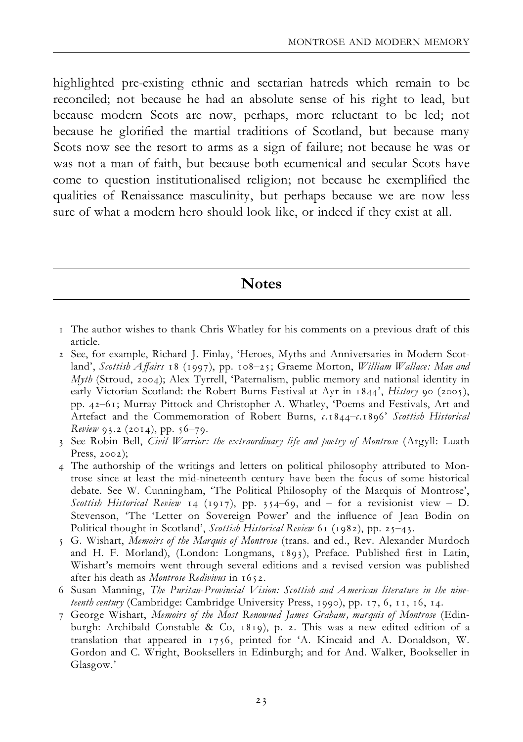highlighted pre-existing ethnic and sectarian hatreds which remain to be reconciled; not because he had an absolute sense of his right to lead, but because modern Scots are now, perhaps, more reluctant to be led; not because he glorified the martial traditions of Scotland, but because many Scots now see the resort to arms as a sign of failure; not because he was or was not a man of faith, but because both ecumenical and secular Scots have come to question institutionalised religion; not because he exemplified the qualities of Renaissance masculinity, but perhaps because we are now less sure of what a modern hero should look like, or indeed if they exist at all.

**Notes** 

- 1 The author wishes to thank Chris Whatley for his comments on a previous draft of this article.
- 2 See, for example, Richard J. Finlay, 'Heroes, Myths and Anniversaries in Modern Scotland', Scottish Affairs 18 (1997), pp. 108-25; Graeme Morton, William Wallace: Man and Myth (Stroud, 2004); Alex Tyrrell, 'Paternalism, public memory and national identity in early Victorian Scotland: the Robert Burns Festival at Ayr in  $1844'$ , *History* 90 (2005), pp. 42^61; Murray Pittock and Christopher A. Whatley, 'Poems and Festivals, Art and Artefact and the Commemoration of Robert Burns,  $c.1844-c.1896'$  Scottish Historical Review 93.2 (2014), pp.  $56-79$ .
- 3 See Robin Bell, *Civil Warrior: the extraordinary life and poetry of Montrose* (Argyll: Luath Press, 2002);
- 4 The authorship of the writings and letters on political philosophy attributed to Montrose since at least the mid-nineteenth century have been the focus of some historical debate. See W. Cunningham, 'The Political Philosophy of the Marquis of Montrose', Scottish Historical Review 14 (1917), pp. 354-69, and - for a revisionist view - D. Stevenson, 'The 'Letter on Sovereign Power' and the influence of Jean Bodin on Political thought in Scotland', Scottish Historical Review 61 (1982), pp. 25-43.
- 5 G. Wishart, Memoirs of the Marquis of Montrose (trans. and ed., Rev. Alexander Murdoch and H. F. Morland), (London: Longmans, 1893), Preface. Published first in Latin, Wishart's memoirs went through several editions and a revised version was published after his death as Montrose Redivivus in 1652.
- 6 Susan Manning, The Puritan-Provincial Vision: Scottish and American literature in the nineteenth century (Cambridge: Cambridge University Press, 1990), pp. 17, 6, 11, 16, 14.
- 7 George Wishart, Memoirs of the Most Renowned James Graham, marquis of Montrose (Edinburgh: Archibald Constable & Co, 1819), p. 2. This was a new edited edition of a translation that appeared in 1756, printed for 'A. Kincaid and A. Donaldson, W. Gordon and C. Wright, Booksellers in Edinburgh; and for And. Walker, Bookseller in Glasgow.'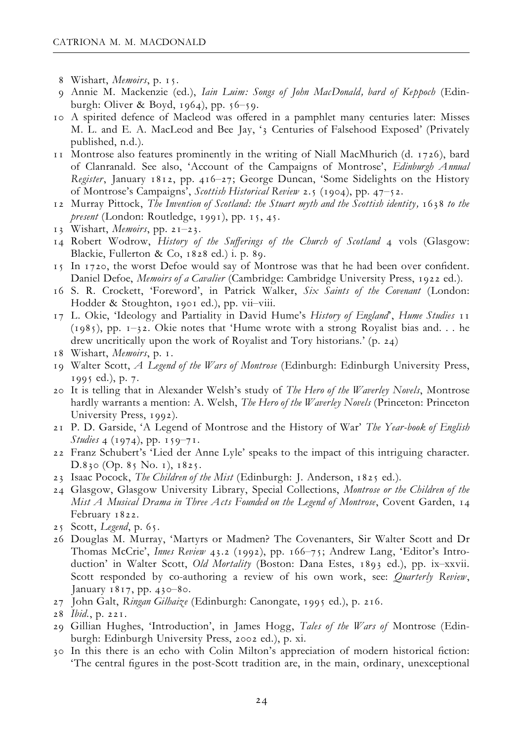- 8 Wishart, Memoirs, p. 15.
- 9 Annie M. Mackenzie (ed.), Iain Luim: Songs of John MacDonald, bard of Keppoch (Edinburgh: Oliver & Boyd,  $1964$ ), pp.  $56-59$ .
- 10 A spirited defence of Macleod was offered in a pamphlet many centuries later: Misses M. L. and E. A. MacLeod and Bee Jay, '3 Centuries of Falsehood Exposed' (Privately published, n.d.).
- 11 Montrose also features prominently in the writing of Niall MacMhurich (d. 1726), bard of Clanranald. See also, 'Account of the Campaigns of Montrose', Edinburgh Annual Register, January 1812, pp. 416-27; George Duncan, 'Some Sidelights on the History of Montrose's Campaigns', Scottish Historical Review 2.5 (1904), pp. 47^52.
- 12 Murray Pittock, The Invention of Scotland: the Stuart myth and the Scottish identity, 1638 to the present (London: Routledge, 1991), pp. 15, 45.
- 13 Wishart, Memoirs, pp.  $21-23$ .
- 14 Robert Wodrow, History of the Sufferings of the Church of Scotland 4 vols (Glasgow: Blackie, Fullerton & Co, 1828 ed.) i. p. 89.
- 15 In 1720, the worst Defoe would say of Montrose was that he had been over con¢dent. Daniel Defoe, Memoirs of a Cavalier (Cambridge: Cambridge University Press, 1922 ed.).
- 16 S. R. Crockett, 'Foreword', in Patrick Walker, Six Saints of the Covenant (London: Hodder & Stoughton, 1901 ed.), pp. vii-viii.
- 17 L. Okie, 'Ideology and Partiality in David Hume's History of England', Hume Studies 11  $(1985)$ , pp.  $1-32$ . Okie notes that 'Hume wrote with a strong Royalist bias and. . . he drew uncritically upon the work of Royalist and Tory historians.' (p. 24)
- 18 Wishart, Memoirs, p. 1.
- 19 Walter Scott, A Legend of the Wars of Montrose (Edinburgh: Edinburgh University Press, 1995 ed.), p. 7.
- 20 It is telling that in Alexander Welsh's study of The Hero of the Waverley Novels, Montrose hardly warrants a mention: A. Welsh, The Hero of the Waverley Novels (Princeton: Princeton University Press, 1992).
- 21 P. D. Garside, 'A Legend of Montrose and the History of War' The Year-book of English *Studies* 4 (1974), pp. 159-71.
- 22 Franz Schubert's 'Lied der Anne Lyle' speaks to the impact of this intriguing character. D.830 (Op. 85 No. 1), 1825.
- 23 Isaac Pocock, The Children of the Mist (Edinburgh: J. Anderson, 1825 ed.).
- 24 Glasgow, Glasgow University Library, Special Collections, Montrose or the Children of the Mist A Musical Drama in Three Acts Founded on the Legend of Montrose, Covent Garden, 14 February 1822.
- 25 Scott, Legend, p. 65.
- 26 Douglas M. Murray, 'Martyrs or Madmen? The Covenanters, Sir Walter Scott and Dr Thomas McCrie', *Innes Review* 43.2 (1992), pp. 166-75; Andrew Lang, 'Editor's Introduction' in Walter Scott, Old Mortality (Boston: Dana Estes, 1893 ed.), pp. ix-xxvii. Scott responded by co-authoring a review of his own work, see: *Quarterly Review*, January  $1817$ , pp. 430-80.
- 27 John Galt, Ringan Gilhaize (Edinburgh: Canongate, 1995 ed.), p. 216.
- 28 Ibid., p. 221.
- 29 Gillian Hughes, 'Introduction', in James Hogg, Tales of the Wars of Montrose (Edinburgh: Edinburgh University Press, 2002 ed.), p. xi.
- 30 In this there is an echo with Colin Milton's appreciation of modern historical ¢ction: 'The central ¢gures in the post-Scott tradition are, in the main, ordinary, unexceptional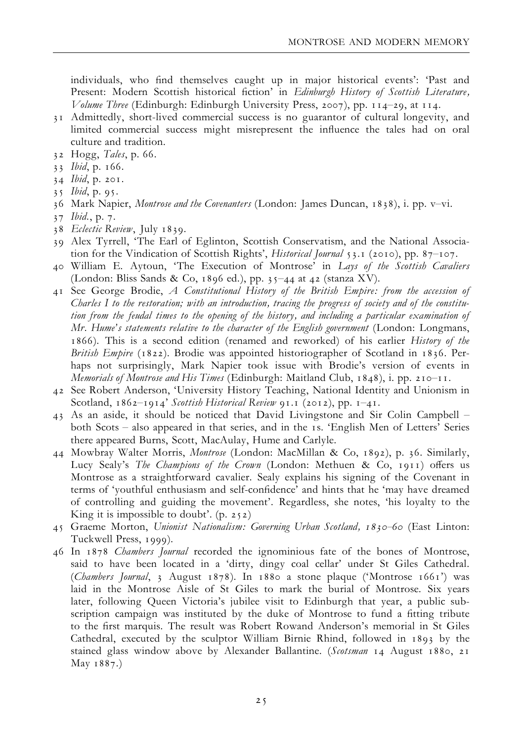individuals, who find themselves caught up in major historical events': 'Past and Present: Modern Scottish historical fiction' in Edinburgh History of Scottish Literature, Volume Three (Edinburgh: Edinburgh University Press, 2007), pp. 114-29, at 114.

- 31 Admittedly, short-lived commercial success is no guarantor of cultural longevity, and limited commercial success might misrepresent the influence the tales had on oral culture and tradition.
- 32 Hogg, Tales, p. 66.
- 33 Ibid, p. 166.
- 34 Ibid, p. 201.
- 35 Ibid, p. 95.
- 36 Mark Napier, *Montrose and the Covenanters* (London: James Duncan, 1838), i. pp. v-vi.
- 37 Ibid., p. 7.
- 38 Eclectic Review, July 1839.
- 39 Alex Tyrrell, 'The Earl of Eglinton, Scottish Conservatism, and the National Association for the Vindication of Scottish Rights', *Historical Journal* 53.1 (2010), pp.  $87-107$ .
- 40 William E. Aytoun, 'The Execution of Montrose' in Lays of the Scottish Cavaliers (London: Bliss Sands & Co, 1896 ed.), pp.  $35-44$  at 42 (stanza XV).
- 41 See George Brodie, A Constitutional History of the British Empire: from the accession of Charles I to the restoration; with an introduction, tracing the progress of society and of the constitution from the feudal times to the opening of the history, and including a particular examination of Mr. Hume's statements relative to the character of the English government (London: Longmans, 1866). This is a second edition (renamed and reworked) of his earlier History of the British Empire (1822). Brodie was appointed historiographer of Scotland in 1836. Perhaps not surprisingly, Mark Napier took issue with Brodie's version of events in Memorials of Montrose and His Times (Edinburgh: Maitland Club,  $1848$ ), i. pp. 210-11.
- 42 See Robert Anderson, 'University History Teaching, National Identity and Unionism in Scotland,  $1862-1914'$  Scottish Historical Review 91.1 (2012), pp.  $1-41$ .
- 43 As an aside, it should be noticed that David Livingstone and Sir Colin Campbell ^ both Scots ^ also appeared in that series, and in the 1s. 'English Men of Letters' Series there appeared Burns, Scott, MacAulay, Hume and Carlyle.
- 44 Mowbray Walter Morris, Montrose (London: MacMillan & Co, 1892), p. 36. Similarly, Lucy Sealy's The Champions of the Crown (London: Methuen & Co, 1911) offers us Montrose as a straightforward cavalier. Sealy explains his signing of the Covenant in terms of 'youthful enthusiasm and self-confidence' and hints that he 'may have dreamed of controlling and guiding the movement'. Regardless, she notes, 'his loyalty to the King it is impossible to doubt'. (p. 252)
- 45 Graeme Morton, Unionist Nationalism: Governing Urban Scotland, 1830-60 (East Linton: Tuckwell Press, 1999).
- 46 In 1878 Chambers Journal recorded the ignominious fate of the bones of Montrose, said to have been located in a 'dirty, dingy coal cellar' under St Giles Cathedral. (Chambers Journal, 3 August 1878). In 1880 a stone plaque ('Montrose 1661') was laid in the Montrose Aisle of St Giles to mark the burial of Montrose. Six years later, following Queen Victoria's jubilee visit to Edinburgh that year, a public subscription campaign was instituted by the duke of Montrose to fund a fitting tribute to the first marquis. The result was Robert Rowand Anderson's memorial in St Giles Cathedral, executed by the sculptor William Birnie Rhind, followed in 1893 by the stained glass window above by Alexander Ballantine. (Scotsman 14 August 1880, 21 May 1887.)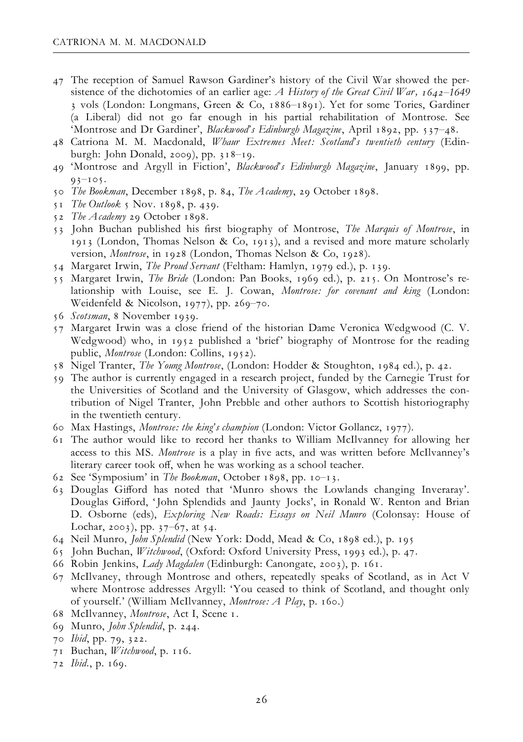- 47 The reception of Samuel Rawson Gardiner's history of the Civil War showed the persistence of the dichotomies of an earlier age: A History of the Great Civil War,  $1642-1649$ 3 vols (London: Longmans, Green & Co, 1886^1891). Yet for some Tories, Gardiner (a Liberal) did not go far enough in his partial rehabilitation of Montrose. See 'Montrose and Dr Gardiner', Blackwood's Edinburgh Magazine, April 1892, pp. 537-48.
- 48 Catriona M. M. Macdonald, Whaur Extremes Meet: Scotland's twentieth century (Edinburgh: John Donald, 2009), pp.  $318-19$ .
- 49 'Montrose and Argyll in Fiction', Blackwood's Edinburgh Magazine, January 1899, pp.  $93 - 105$ .
- 50 The Bookman, December 1898, p. 84, The Academy, 29 October 1898.
- 51 The Outlook 5 Nov. 1898, p. 439.
- 52 The Academy 29 October 1898.
- 53 John Buchan published his first biography of Montrose, The Marquis of Montrose, in 1913 (London, Thomas Nelson & Co, 1913), and a revised and more mature scholarly version, Montrose, in 1928 (London, Thomas Nelson & Co, 1928).
- 54 Margaret Irwin, The Proud Servant (Feltham: Hamlyn, 1979 ed.), p. 139.
- 55 Margaret Irwin, The Bride (London: Pan Books, 1969 ed.), p. 215. On Montrose's relationship with Louise, see E. J. Cowan, Montrose: for covenant and king (London: Weidenfeld & Nicolson, 1977), pp. 269-70.
- 56 Scotsman, 8 November 1939.
- 57 Margaret Irwin was a close friend of the historian Dame Veronica Wedgwood (C. V. Wedgwood) who, in 1952 published a 'brief' biography of Montrose for the reading public, Montrose (London: Collins, 1952).
- 58 Nigel Tranter, The Young Montrose, (London: Hodder & Stoughton, 1984 ed.), p. 42.
- 59 The author is currently engaged in a research project, funded by the Carnegie Trust for the Universities of Scotland and the University of Glasgow, which addresses the contribution of Nigel Tranter, John Prebble and other authors to Scottish historiography in the twentieth century.
- 60 Max Hastings, Montrose: the king's champion (London: Victor Gollancz, 1977).
- 61 The author would like to record her thanks to William McIlvanney for allowing her access to this MS. Montrose is a play in five acts, and was written before McIlvanney's literary career took off, when he was working as a school teacher.
- 62 See 'Symposium' in The Bookman, October 1898, pp. 10-13.
- 63 Douglas Gifford has noted that 'Munro shows the Lowlands changing Inveraray'. Douglas Gifford, 'John Splendids and Jaunty Jocks', in Ronald W. Renton and Brian D. Osborne (eds), Exploring New Roads: Essays on Neil Munro (Colonsay: House of Lochar, 2003), pp.  $37-67$ , at 54.
- 64 Neil Munro, John Splendid (New York: Dodd, Mead & Co, 1898 ed.), p. 195
- 65 John Buchan, Witchwood, (Oxford: Oxford University Press, 1993 ed.), p. 47.
- 66 Robin Jenkins, Lady Magdalen (Edinburgh: Canongate, 2003), p. 161.
- 67 McIlvaney, through Montrose and others, repeatedly speaks of Scotland, as in Act V where Montrose addresses Argyll: 'You ceased to think of Scotland, and thought only of yourself.' (William McIlvanney, Montrose: A Play, p. 160.)
- 68 McIlvanney, Montrose, Act I, Scene 1.
- 69 Munro, John Splendid, p. 244.
- 70 Ibid, pp. 79, 322.
- 71 Buchan, Witchwood, p. 116.
- 72 Ibid., p. 169.